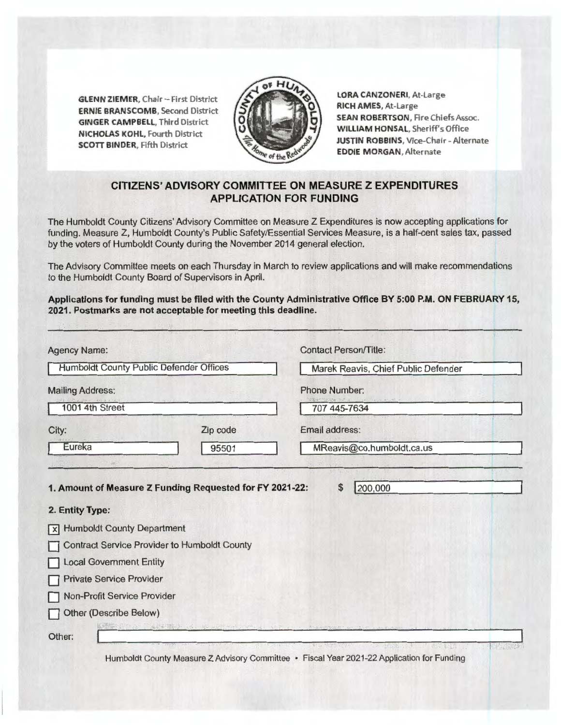**GLENN ZIEMER, Chair - First District ERNIE BRANSCOMB,** Second District **GINGER CAMPBELL,** Third District **N ICHOLAS KOHL,** Fourth District **SCOTT BINDER,** Fifth District



**LORA CANZONERI,** At-Large **RICH AMES,** At-Large **SEAN ROBERTSON,** Fire Chiefs Assoc. **WILUAM HONSAL,** Sheriff's Office **JUSTIN ROBBINS,** Vice-Chair - Alternate **EDDIE MORGAN ,** Alternate

## **CITIZENS' ADVISORY COMMITTEE ON MEASURE Z EXPENDITURES APPLICATION FOR FUNDING**

The Humboldt County Citizens' Advisory Committee on Measure Z Expenditures is now accepting applications for funding. Measure Z, Humboldt County's Public Safety/Essential Services Measure, is a half-cent sales tax, passed by the voters of Humboldt County during the November 2014 general election.

The Advisory Committee meets on each Thursday in March to review applications and will make recommendations to the Humboldt County Board of Supervisors in April.

**Applications for funding must be filed with the County Administrative Office BY 5:00 P.M. ON FEBRUARY 15, 2021. Postmarks are not acceptable for meeting this deadline.** 

| <b>Agency Name:</b><br><b>Humboldt County Public Defender Offices</b><br><b>Mailing Address:</b><br>1001 4th Street |                                                     | <b>Contact Person/Title:</b><br>Marek Reavis, Chief Public Defender<br><b>Phone Number:</b><br>707 445-7634 |  |                 |                                                          |                           |
|---------------------------------------------------------------------------------------------------------------------|-----------------------------------------------------|-------------------------------------------------------------------------------------------------------------|--|-----------------|----------------------------------------------------------|---------------------------|
|                                                                                                                     |                                                     |                                                                                                             |  | City:           | Zip code                                                 | Email address:            |
|                                                                                                                     |                                                     |                                                                                                             |  | Eureka          | 95501                                                    | MReavis@co.humboldt.ca.us |
|                                                                                                                     |                                                     |                                                                                                             |  | 2. Entity Type: | 1. Amount of Measure Z Funding Requested for FY 2021-22: | 200,000<br>\$             |
|                                                                                                                     |                                                     |                                                                                                             |  |                 |                                                          |                           |
| <b>Humboldt County Department</b><br>$\vert x \vert$                                                                |                                                     |                                                                                                             |  |                 |                                                          |                           |
|                                                                                                                     | <b>Contract Service Provider to Humboldt County</b> |                                                                                                             |  |                 |                                                          |                           |
| <b>Local Government Entity</b><br><b>Private Service Provider</b>                                                   |                                                     |                                                                                                             |  |                 |                                                          |                           |
| Non-Profit Service Provider                                                                                         |                                                     |                                                                                                             |  |                 |                                                          |                           |
| <b>Other (Describe Below)</b>                                                                                       |                                                     |                                                                                                             |  |                 |                                                          |                           |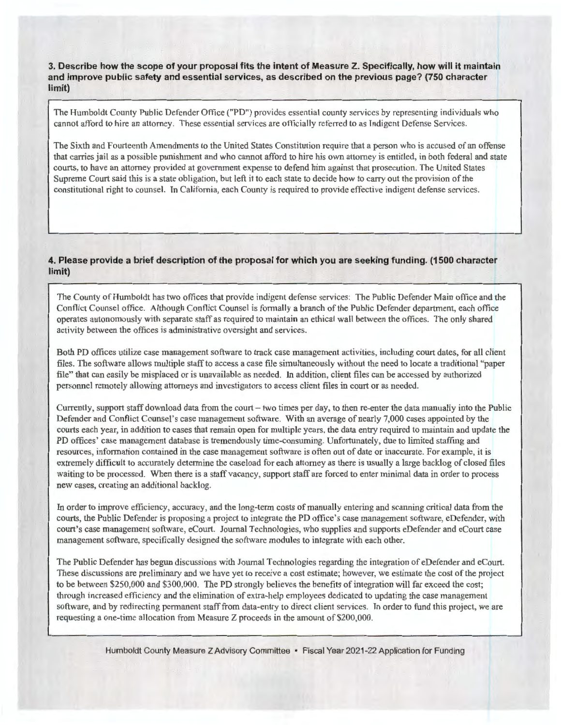**3. Describe how the scope of your proposal fits the intent of Measure Z. Specifically, how will it maintain and improve public safety and essential services, as described on the previous page? (750 character limit)** 

The Humboldt County Public Defender Office ("PD") provides essential county services by representing individuals who cannot afford to hire an attorney. These essential services are officially referred to as Indigent Defense Services.

The Sixth and Fourteenth Amendments to the United States Constitution require that a person who is accused of an offense that carries jail as a possible punishment and who cannot afford to hire his own attorney is entitled, in both federal and state courts, to have an attorney provided at government expense to defend him against that prosecution. The United States Supreme Court said this is a state obligation, but left it to each state to decide how to carry out the provision of the constitutional right to counsel. Tn California, each County is required to provide effective indigent defense services.

## **4. Please provide a brief description of the proposal for which you are seeking funding. (1500 character limit)**

The County of Humboldt has two offices that provide indigent defense services: The Public Defender Main office and the Conflict Counsel office. Although Conflict Counsel is formally a branch of the Public Defender department, each office operates autonomously with separate staff as required to maintain an ethical wall between the offices. The only shared activity between the offices is administrative oversight and services.

Both PD offices utilize case management software to track case management activities, including court dates, for all client files. The software allows multiple staff to access a case file simultaneously without the need to locate a traditional "paper file" that can easily be misplaced or is unavailable as needed. ln addition, client files can be accessed by authorized personnel remotely allowing attorneys and investigators to access client files in court or as needed.

Currently, support staff download data from the court- two times per day, to then re-enter the data manually into the Public Defender and Conflict Counsel's case management software. With an average of nearly 7,000 cases appointed by the courts each year, in addition to cases that remain open for multiple years, the data entry required to maintain and update the PD offices' case management database is tremendously time-consuming. Unfortunately, due to limited staffing and resources, information contained in the case management software is often out of date or inaccurate. For example, it is extremely difficult to accurately determine the caseload for each attorney as there is usually a large backlog of closed files waiting to be processed. When there is a staff vacancy, support staff are forced to enter minimal data in order to process new cases, creating an additional backlog.

In order to improve efficiency, accuracy, and the long-term costs of manually entering and scanning critical data from the courts, the Public Defender is proposing a project to integrate the PD office's case management software, eDefender, with court's case management software, eCourt. Journal Technologies, who supplies and supports eDefender and eCourt case management software, specifically designed the software modules to integrate with each other.

The Public Defender has begun discussions with Journal Technologies regarding the integration of eDefender and eCourt. These discussions are preliminary and we have yet to receive a cost estimate; however, we estimate the cost of the project to be between \$250,000 and \$300,000. The PD strongly believes the benefits of integration will far exceed the cost; through increased efficiency and the elimination of extra-help employees dedicated to updating the case management software, and by redirecting permanent staff from data-entry to direct client services. In order to fund this project, we are requesting a one-time allocation from Measure Z proceeds in the amount of \$200,000.

Humboldt County Measure Z Advisory Committee • Fiscal Year 2021-22 Application for Funding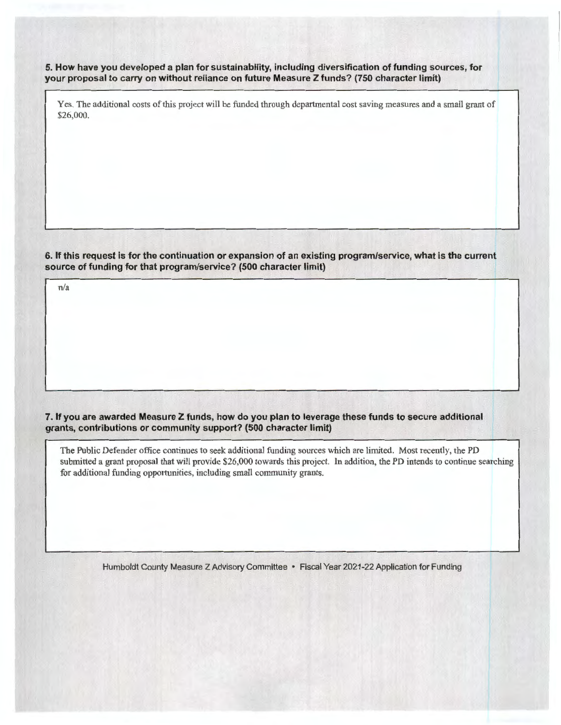**5. How have you developed a plan for sustainability, including diversification of funding sources, for your proposal to carry on without reliance on future Measure Z funds? (750 character limit)** 

Yes. The additional costs of this project will be funded through departmental cost saving measures and a small grant of \$26,000.

**6. If this request is for the continuation or expansion of an existing program/service, what is the current source of funding for that program/service? (500 character limit)** 

n/a

**7. If you are awarded Measure Z funds, how do you plan to leverage these funds to secure additional grants, contributions or community support? (500 character limit)** 

The Public Defender office continues to seek additional funding sources which are limited. Most recently, the PD submitted a grant proposal that will provide \$26,000 towards this project. In addition, the PD intends to continue searching for additional funding opportunities, including small community grants.

Humboldt County Measure Z Advisory Committee • Fiscal Year 2021-22 Application for Funding